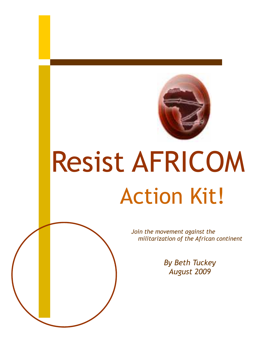

# Resist AFRICOM Action Kit!

Join the movement against the militarization of the African continent

> By Beth Tuckey August 2009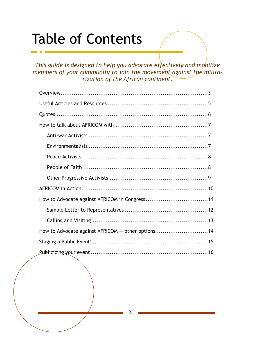# Table of Contents

This guide is designed to help you advocate effectively and mobilize members of your community to join the movement against the militarization of the African continent.

| How to Advocate against AFRICOM in Congress11     |  |
|---------------------------------------------------|--|
|                                                   |  |
|                                                   |  |
| How to Advocate against AFRICOM - other options14 |  |
|                                                   |  |
|                                                   |  |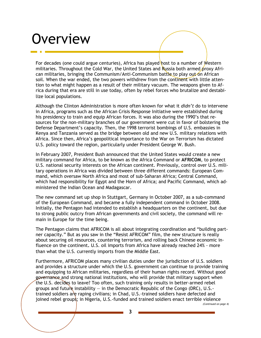# Overview

For decades (one could argue centuries), Africa has played host to a number of Western militaries. Throughout the Cold War, the United States and Russia both armed  $\rho$ roxy African militaries, bringing the Communism/Anti-Communism battle to play out on African soil. When the war ended, the two powers withdrew from the continent with little attention to what might happen as a result of their military vacuum. The weapons given to Africa during that era are still in use today, often by rebel forces who brutalize and destabilize local populations.

Although the Clinton Administration is more often known for what it didn't do to intervene in Africa, programs such as the African Crisis Response Initiative were established during his presidency to train and equip African forces. It was also during the 1990's that resources for the non-military branches of our government were cut in favor of bolstering the Defense Department's capacity. Then, the 1998 terrorist bombings of U.S. embassies in Kenya and Tanzania served as the bridge between old and new U.S. military relations with Africa. Since then, Africa's geopolitical importance to the War on Terrorism has dictated U.S. policy toward the region, particularly under President George W. Bush.

In February 2007, President Bush announced that the United States would create a new military command for Africa, to be known as the Africa Command or AFRICOM, to protect U.S. national security interests on the African continent. Previously, control over U.S. military operations in Africa was divided between three different commands: European Command, which oversaw North Africa and most of sub-Saharan Africa; Central Command, which had responsibility for Egypt and the Horn of Africa; and Pacific Command, which administered the Indian Ocean and Madagascar.

The new command set up shop in Stuttgart, Germany in October 2007, as a sub-command of the European Command, and became a fully independent command in October 2008. Initially, the Pentagon had intended to establish a headquarters on the continent, but due to strong public outcry from African governments and civil society, the command will remain in Europe for the time being.

The Pentagon claims that AFRICOM is all about integrating coordination and "building partner capacity." But as you saw in the "Resist AFRICOM" film, the new structure is really about securing oil resources, countering terrorism, and rolling back Chinese economic influence on the continent. U.S. oil imports from Africa have already reached 24% - more than what the U.S. currently imports from the Middle East.

Furthermore, AFRICOM places many civilian duties under the jurisdiction of U.S. soldiers and provides a structure under which the U.S. government can continue to provide training and equipping to African militaries, regardless of their human rights record. Without good governance and strong national institutions, who will provide that military support when the U.S. decides to leave? Too often, such training only results in better-armed rebel groups and future instability  $-$  in the Democratic Republic of the Congo (DRC), U.S.trained soldiers are raping civilians; in Chad, U.S.-trained soldiers have defected and joined rebel groups; in Nigeria, U.S.-funded and trained soldiers enact terrible violence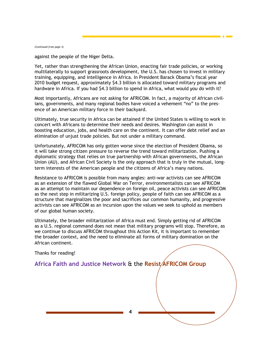(Continued from page 3)

against the people of the Niger Delta.

Yet, rather than strengthening the African Union, enacting fair trade policies, or working multilaterally to support grassroots development, the U.S. has chosen to invest in military training, equipping, and intelligence in Africa. In President Barack Obama's fiscal year 2010 budget request, approximately \$4.3 billion is allocated toward military programs and hardware in Africa. If you had \$4.3 billion to spend in Africa, what would you do with it?

Most importantly, Africans are not asking for AFRICOM. In fact, a majority of African civilians, governments, and many regional bodies have voiced a vehement "no" to the presence of an American military force in their backyard.

Ultimately, true security in Africa can be attained if the United States is willing to work in concert with Africans to determine their needs and desires. Washington can assist in boosting education, jobs, and health care on the continent. It can offer debt relief and an elimination of unjust trade policies. But not under a military command.

Unfortunately, AFRICOM has only gotten worse since the election of President Obama, so it will take strong citizen pressure to reverse the trend toward militarization. Pushing a diplomatic strategy that relies on true partnership with African governments, the African Union (AU), and African Civil Society is the only approach that is truly in the mutual, longterm interests of the American people and the citizens of Africa's many nations.

Resistance to AFRICOM is possible from many angles: anti-war activists can see AFRICOM as an extension of the flawed Global War on Terror, environmentalists can see AFRICOM as an attempt to maintain our dependence on foreign oil, peace activists can see AFRICOM as the next step in militarizing U.S. foreign policy, people of faith can see AFRICOM as a structure that marginalizes the poor and sacrifices our common humanity, and progressive activists can see AFRICOM as an incursion upon the values we seek to uphold as members of our global human society.

Ultimately, the broader militarization of Africa must end. Simply getting rid of AFRICOM as a U.S. regional command does not mean that military programs will stop. Therefore, as we continue to discuss AFRICOM throughout this Action Kit, it is important to remember the broader context, and the need to eliminate all forms of military domination on the African continent.

Thanks for reading!

Africa Faith and Justice Network & the Resist/AFRICOM Group

4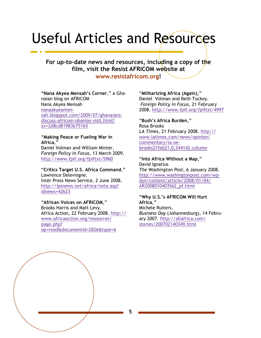# Useful Articles and Resources

For up-to-date news and resources, including a copy of the film, visit the Resist AFRICOM website at

www.resistafricom.org!

"Nana Akyea Mensah's Corner," a Ghanaian blog on AFRICOM Nana Akyea Mensah nanaakyeamensah.blogspot.com/2009/07/ghanaiansdiscuss-africom-obamas-visit.html? zx=2d8cd81983b751b5

#### "Making Peace or Fueling War in Africa,"

Daniel Volman and William Minter. Foreign Policy in Focus, 13 March 2009. http://www.fpif.org/fpiftxt/5960

"Critics Target U.S. Africa Command," Lawrence Delevingne. Inter Press News Service, 2 June 2008. http://ipsnews.net/africa/nota.asp? idnews=42623

#### "African Voices on AFRICOM,"

Brooks Harris and Matt Levy. Africa Action, 22 February 2008. http:// www.africaaction.org/resources/ page.php? op=read&documentid=2826&type=6

"Militarizing Africa (Again)," Daniel Volman and Beth Tuckey. Foreign Policy in Focus, 21 February 2008. http://www.fpif.org/fpiftxt/4997

"Bush's Africa Burden," Rosa Brooks LA Times, 21 February 2008. http:// www.latimes.com/news/opinion/ commentary/la-oebrooks21feb21,0,344142.column

"Into Africa Without a Map," David Ignatius The Washington Post, 6 January 2008. http://www.washingtonpost.com/wpdyn/content/article/2008/01/04/ AR2008010403562\_pf.html

#### "Why U.S.'s AFRICOM Will Hurt Africa,"

Michele Ruiters. Business Day (Johannesburg), 14 February 2007. http://allafrica.com/ stories/200702140349.html

5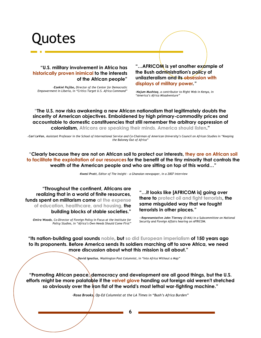# uotes

"U.S. military involvement in Africa has historically proven inimical to the interests of the African people"

–Ezekiel Pajibo, Director of the Center for Democratic Empowerment in Liberia, in "Critics Target U.S. Africa Command"

"...AFRICOM is yet another example of the Bush administration's policy of unilazteralism and its obsession with displays of military power."

–Najum Mushtaq, a contributor to Right Web in Kenya, in "America's Africa Misadventure"

"The U.S. now risks awakening a new African nationalism that legitimately doubts the sincerity of American objectives. Emboldened by high primary-commodity prices and accountable to domestic constituencies that still remember the arbitrary oppression of colonialism, Africans are speaking their minds. America should listen."

–Carl LeVan, Assistant Professor in the School of International Service and Co-Chairman of American University's Council on African Studies in "Keeping the Baloney Out of Africa"

"Clearly because they are not on African soil to protect our interests, they are on African soil to facilitate the exploitation of our resources for the benefit of the tiny minority that controls the wealth of the American people and who are sitting on top of this world…"

–Kwesi Pratt, Editor of The Insight - a Ghanaian newspaper, in a 2007 interview

"Throughout the continent, Africans are realizing that in a world of finite resources, funds spent on militarism come at the expense of education, healthcare, and housing, the building blocks of stable societies."

–Emira Woods, Co-Director of Foreign Policy in Focus at the Institute for Policy Studies, in "Africa's Own Needs Should Come First"

"…it looks like [AFRICOM is] going over there to protect oil and fight terrorists, the same misguided way that we fought terrorists in other places."

—Representative John Tierney (D-MA) in a Subcommittee on National Security and Foreign Affairs hearing on AFRICOM.

"Its nation-building goal sounds noble, but so did European imperialism of 150 years ago to its proponents. Before America sends its soldiers marching off to save Africa, we need more discussion about what this mission is all about."

–David Ignatius, Washington Post Columnist, in "Into Africa Without a Map"

"Promoting African peace, democracy and development are all good things, but the U.S. efforts might be more palatable if the velvet glove handing out foreign aid weren't stretched so obviously over the iron fist of the world's most lethal war-fighting machine."

–Rosa Brooks, Op-Ed Columnist at the LA Times in "Bush's Africa Burden"

6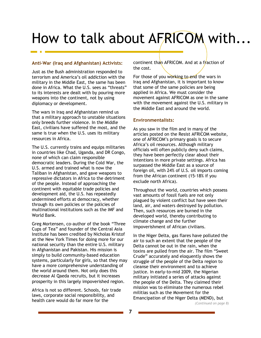# How to talk about AFRICOM with...

#### Anti-War (Iraq and Afghanistan) Activists:

Just as the Bush administration responded to terrorism and America's oil addiction with the military in the Middle East, the same has been done in Africa. What the U.S. sees as "threats" to its interests are dealt with by pouring more weapons into the continent, not by using diplomacy or development.

The wars in Iraq and Afghanistan remind us that a military approach to unstable situations only breeds further violence. In the Middle East, civilians have suffered the most, and the same is true when the U.S. uses its military resources in Africa.

The U.S. currently trains and equips militaries in countries like Chad, Uganda, and DR Congo, none of which can claim responsible democratic leaders. During the Cold War, the U.S. armed and trained what is now the Taliban in Afghanistan, and gave weapons to repressive dictators in Africa to the detriment of the people. Instead of approaching the continent with equitable trade policies and development aid, the U.S. has repeatedly undermined efforts at democracy, whether through its own policies or the policies of multinational institutions such as the IMF and World Bank.

Greg Mortensen, co-author of the book "Three Cups of Tea" and founder of the Central Asia Institute has been credited by Nicholas Kristof at the New York Times for doing more for our national security than the entire U.S. military in Afghanistan and Pakistan. His mission is simply to build community-based education systems, particularly for girls, so that they may have a more comprehensive understanding of the world around them. Not only does this decrease Al Qaeda recruits, but it increases prosperity in this largely impoverished region.

Africa is not so different. Schools, fair trade laws, corporate social responsibility, and health care would do far more for the

continent than AFRICOM. And at a fraction of the cost.

For those of you working to end the wars in Iraq and Afghanistan, it is important to know that some of the same policies are being applied in Africa. We must consider the movement against AFRICOM as one in the same with the movement against the U.S. military in the Middle East and around the world.

#### Environmentalists:

As you saw in the film and in many of the articles posted on the Resist AFRICOM website, one of AFRICOM's primary goals is to secure Africa's oil resources. Although military officials will often publicly deny such claims, they have been perfectly clear about their intentions in more private settings. Africa has surpassed the Middle East as a source of foreign oil, with 24% of U.S. oil imports coming from the African continent (15-18% if you exclude north Africa).

Throughout the world, countries which possess vast amounts of fossil fuels are not only plagued by violent conflict but have seen their land, air, and waters destroyed by pollution. Then, such resources are burned in the developed world, thereby contributing to climate change and the further impoverishment of African civilians.

In the Niger Delta, gas flares have polluted the air to such an extent that the people of the Delta cannot be out in the rain, when the toxins are pulled from the air. The film "Sweet Crude" accurately and eloquently shows the struggle of the people of the Delta region to cleanse their environment and to achieve justice. In early-to-mid 2009, the Nigerian military initiated a series of attacks against the people of the Delta. They claimed their mission was to eliminate the numerous rebel militias such as the Movement for the Emancipation of the Niger Delta (MEND), but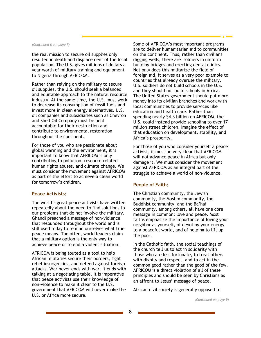#### (Continued from page 7)

the real mission to secure oil supplies only resulted in death and displacement of the local population. The U.S. gives millions of dollars a year worth of military training and equipment to Nigeria through AFRICOM.

Rather than relying on the military to secure oil supplies, the U.S. should seek a balanced and equitable approach to the natural resource industry. At the same time, the U.S. must work to decrease its consumption of fossil fuels and invest more in clean energy alternatives. U.S. oil companies and subsidiaries such as Chevron and Shell Oil Company must be held accountable for their destruction and contribute to environmental restoration throughout the continent.

For those of you who are passionate about global warming and the environment, it is important to know that AFRICOM is only contributing to pollution, resource-related human rights abuses, and climate change. We must consider the movement against AFRICOM as part of the effort to achieve a clean world for tomorrow's children.

#### Peace Activists:

The world's great peace activists have written repeatedly about the need to find solutions to our problems that do not involve the military. Ghandi preached a message of non-violence that resounded throughout the world and is still used today to remind ourselves what true peace means. Too often, world leaders claim that a military option is the only way to achieve peace or to end a violent situation.

AFRICOM is being touted as a tool to help African militaries secure their borders, fight rebel insurgencies, and defend against foreign attacks. War never ends with war. It ends with talking at a negotiating table. It is imperative that peace activists use their knowledge of non-violence to make it clear to the U.S. government that AFRICOM will never make the U.S. or Africa more secure.

Some of AFRICOM's most important programs are to deliver humanitarian aid to communities on the continent. Thus, rather than civilians digging wells, there are soldiers in uniform building bridges and erecting dental clinics. Not only does this militarize the field of foreign aid, it serves as a very poor example to countries that already overuse the military. U.S. soldiers do not build schools in the U.S. and they should not build schools in Africa. The United States government should put more money into its civilian branches and work with local communities to provide services like education and health care. Rather than spending nearly \$4.3 billion on AFRICOM, the U.S. could instead provide schooling to over 17 million street children. Imagine the effect of that education on development, stability, and Africa's prosperity.

For those of you who consider yourself a peace activist, it must be very clear that AFRICOM will not advance peace in Africa but only damage it. We must consider the movement against AFRICOM as an integral part of the struggle to achieve a world of non-violence.

#### People of Faith:

The Christian community, the Jewish community, the Muslim community, the Buddhist community, and the Ba'hai community, among others, all have one core message in common: love and peace. Most faiths emphasize the importance of loving your neighbor as yourself, of devoting your energy to a peaceful world, and of helping to lift up the poor.

In the Catholic faith, the social teachings of the church tell us to act in solidarity with those who are less fortunate, to treat others with dignity and respect, and to act in the common good rather than the good of the few. AFRICOM is a direct violation of all of these principles and should be seen by Christians as an affront to Jesus' message of peace.

African civil society is generally opposed to

(Continued on page 9)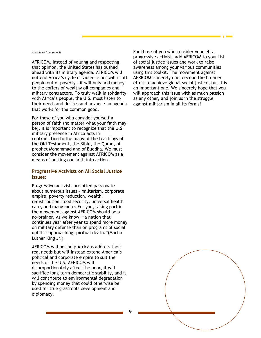#### (Continued from page 8)

AFRICOM. Instead of valuing and respecting that opinion, the United States has pushed ahead with its military agenda. AFRICOM will not end Africa's cycle of violence nor will it lift people out of poverty – it will only add money to the coffers of wealthy oil companies and military contractors. To truly walk in solidarity with Africa's people, the U.S. must listen to their needs and desires and advance an agenda that works for the common good.

For those of you who consider yourself a person of faith (no matter what your faith may be), it is important to recognize that the U.S. military presence in Africa acts in contradiction to the many of the teachings of the Old Testament, the Bible, the Quran, of prophet Mohammad and of Buddha. We must consider the movement against AFRICOM as a means of putting our faith into action.

#### Progressive Activists on All Social Justice Issues:

Progressive activists are often passionate about numerous issues – militarism, corporate empire, poverty reduction, wealth redistribution, food security, universal health care, and many more. For you, taking part in the movement against AFRICOM should be a no-brainer. As we know, "a nation that continues year after year to spend more money on military defense than on programs of social uplift is approaching spiritual death."(Martin Luther King Jr.)

AFRICOM will not help Africans address their real needs but will instead extend America's political and corporate empire to suit the needs of the U.S. AFRICOM will disproportionately affect the poor, it will sacrifice long-term democratic stability, and it will contribute to environmental degradation by spending money that could otherwise be used for true grassroots development and diplomacy.

For those of you who consider yourself a progressive activist, add AFRICOM to your list of social justice issues and work to raise awareness among your various communities using this toolkit. The movement against AFRICOM is merely one piece in the broader effort to achieve global social justice, but it is an important one. We sincerely hope that you will approach this issue with as much passion as any other, and join us in the struggle against militarism in all its forms!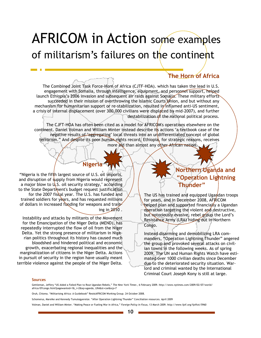### AFRICOM in Action some examples of militarism's failures on the continent

### The Horn of Africa

The Combined Joint Task Force-Horn of Africa (CJTF-HOA). which has taken the lead in U.S. engagement with Somalia, through intelligence, equipment, and personnel support, helped launch Ethiopia's 2006 invasion and subsequent air raids against Somalia. These military efforts succeeded in their mission of overthrowing the Islamic Courts Union, and but without any mechanism for humanitarian support or re-stabilization, resulted in inflamed anti-US sentiment, a crisis of internal displacement (over 300,000 civilians were displaced by mid-2007), and further destabilization of the national political process.

The CJFT-HOA has often been cited as a model for AFRICOM's operations elsewhere on the continent. Daniel Volman and William Minter instead describe its actions "a textbook case of the negative results of "aggregating" local threats into an undifferentiated concept of global terrorism." And despite its poor human rights record, Ethiopia, for strategic reasons, receives more aid than almost any other African nation.

### Nigeria

"Nigeria is the fifth largest source of U.S. oil imports, and disruption of supply from Nigeria would represent a major blow to  $\mathsf{U}_k$  S. oil security strategy," according to the State Department's budget request justification for the 2007 fiscal year. The U.S. has funded and trained soldiers for years, and has requested millions of dollars in increased funding for weapons and training in 2010 .

Instability and attacks by militants of the Movement for the Emancipation of the Niger Delta (MEND), has repeatedly interrupted the flow of oil from the Niger Delta. Yet the strong presence of militarism in Nigerian politics throughout its history has caused much bloodshed and hindered political and economic growth, exacerbating regional inequalities and the marginalization of citizens in the Niger Delta. Actions in pursuit of security in the region have usually meant terrible violence against the people of the Niger Delta.

### Northern Uganda and "Operation Lightning Thunder"

The US has trained and equipped Ugandan troops for years, and in December 2008, AFRICOM helped plan and supported financially a Ugandan  $\theta$  peration targeting the violent and destructive, but notoriously evasive, rebel group the Lord's Resistance Army (LRA) hiding out in Northern Congo.

Instead disarming and demobilizing LRA commanders, "Operation Lightning Thunder" angered the group and provoked several attacks on civilian towns in the following weeks. As of spring 2009, The UN and Human Rights Watch have estimated over 1000 civilian deaths since December due to the deteriorated security situation. Warlord and criminal wanted by the International Criminal Court Joseph Kony is still at large.

#### Sources

Gettleman, Jeffery "US Aided a Failed Plan to Rout Ugandan Rebels," The New York Times , 6 February 2009. http://www.nytimes.com/2009/02/07/world/ africa/07congo.html?pagewanted=1&\_r=2&sq=uganda, LRA&st=cse&scp=7

Oruh, Chioma. "Militarising Africa: A Guidebook" ResistAFRICOM Working Group. 24 October 2008.

Schomerus, Mareike and Kennedy Tumutegyereize. "After Operation Lightning Thunder" Conciliation resources. April 2009

Volman, Daniel and William Minter. "Making Peace or Fueling War in Africa," Foreign Policy in Focus, 13 March 2009. http://www.fpif.org/fpiftxt/5960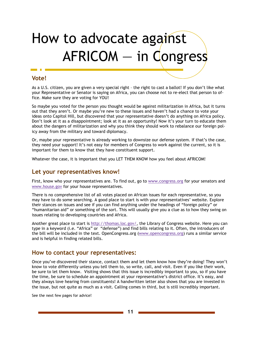# How to advocate against AFRICOM — in Congress

### Vote!

As a U.S. citizen, you are given a very special right – the right to cast a ballot! If you don't like what your Representative or Senator is saying on Africa, you can choose not to re-elect that person to office. Make sure they are voting for YOU!

So maybe you voted for the person you thought would be against militarization in Africa, but it turns out that they aren't. Or maybe you're new to these issues and haven't had a chance to vote your ideas onto Capitol Hill, but discovered that your representative doesn't do anything on Africa policy. Don't look at it as a disappointment; look at it as an opportunity! Now it's your turn to educate them about the dangers of militarization and why you think they should work to rebalance our foreign policy away from the military and toward diplomacy.

Or, maybe your representative is already working to downsize our defense system. If that's the case, they need your support! It's not easy for members of Congress to work against the current, so it is important for them to know that they have constituent support.

Whatever the case, it is important that you LET THEM KNOW how you feel about AFRICOM!

### Let your representatives know!

First, know who your representatives are. To find out, go to www.congress.org for your senators and www.house.gov for your house representatives.

There is no comprehensive list of all votes placed on African issues for each representative, so you may have to do some searching. A good place to start is with your representatives' website. Explore their stances on issues and see if you can find anything under the headings of "foreign policy" or "humanitarian aid" or something of the sort. This will usually give you a clue as to how they swing on issues relating to developing countries and Africa.

Another great place to start is http://thomas.loc.gov/, the Library of Congress website. Here you can type in a keyword (i.e. "Africa" or "defense") and find bills relating to it. Often, the introducers of the bill will be included in the text. OpenCongress.org (www.opencongress.org) runs a similar service and is helpful in finding related bills.

### How to contact your representatives:

Once you've discovered their stance, contact them and let them know how they're doing! They won't know to vote differently unless you tell them to, so write, call, and visit. Even if you like their work, be sure to let them know. Visiting shows that this issue is incredibly important to you, so if you have the time, be sure to schedule an appointment at your representative's district office. It's easy, and they always love hearing from constituents! A handwritten letter also shows that you are invested in the issue, but not quite as much as a visit. Calling comes in third, but is still incredibly important.

See the next few pages for advice!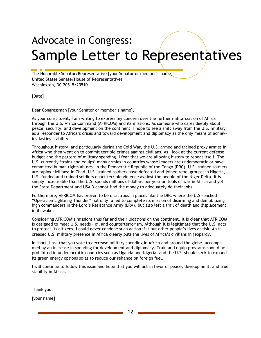# Advocate in Congress: Sample Letter to Representatives

The Honorable Senator/Representative [your Senator or member's name] United States Senate/House of Representatives Washington, DC 20515/20510

[Date]

Dear Congressman [your Senator or member's name],

As your constituent, I am writing to express my concern over the further militarization of Africa through the U.S. Africa Command (AFRICOM) and its missions. As someone who cares deeply about peace, security, and development on the continent, I hope to see a shift away from the U.S. military as a responder to Africa's crises and toward development and diplomacy as the only means of achieving lasting stability.

Throughout history, and particularly during the Cold War, the U.S. armed and trained proxy armies in Africa who then went on to commit terrible crimes against civilians. As I look at the current defense budget and the pattern of military spending, I fear that we are allowing history to repeat itself. The U.S. currently 'trains and equips' many armies in countries whose leaders are undemocratic or have committed human rights abuses. In the Democratic Republic of the Congo (DRC), U.S.-trained soldiers are raping civilians; in Chad, U.S.-trained soldiers have defected and joined rebel groups; in Nigeria, U.S.-funded and trained soldiers enact terrible violence against the people of the Niger Delta. It is simply inexcusable that the U.S. spends millions of dollars per year on tools of war in Africa and yet the State Department and USAID cannot find the money to adequately do their jobs.

Furthermore, AFRICOM has proven to be disastrous in places like the DRC where the U.S.-backed "Operation Lightning Thunder" not only failed to complete its mission of disarming and demobilizing high commanders in the Lord's Resistance Army (LRA), but also left a trail of death and displacement in its wake.

Considering AFRICOM's missions thus far and their locations on the continent, it is clear that AFRICOM is designed to meet U.S. needs – oil and counterterrorism. Although it is legitimate that the U.S. acts to protect its citizens, I could never condone such action if it put other people's lives at risk. An increased U.S. military presence in Africa clearly puts the lives of Africa's civilians in jeopardy.

In short, I ask that you vote to decrease military spending in Africa and around the globe, accompanied by an increase in spending for development and diplomacy. Train and equip programs should be prohibited in undemocratic countries such as Uganda and Nigeria, and the U.S. should seek to expand its green energy options so as to reduce our reliance on foreign fuel.

I will continue to follow this issue and hope that you will act in favor of peace, development, and true stability in Africa.

Thank you,

[your name]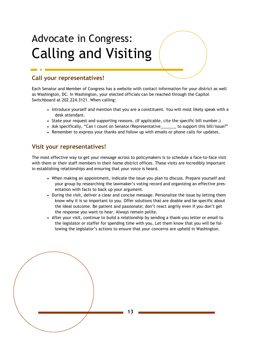## Advocate in Congress: Calling and Visiting

### Call your representatives!

Each Senator and Member of Congress has a website with contact information for your district as well as Washington, DC. In Washington, your elected officials can be reached through the Capitol Switchboard at 202.224.3121. When calling:

- Introduce yourself and mention that you are a constituent. You will most likely speak with a desk attendant.
- State your request and supporting reasons. (If applicable, cite the specific bill number.)
- Ask specifically, "Can I count on Senator/Representative\_\_\_\_\_\_ to support this bill/issue?"
- Remember to express your thanks and follow up with emails or phone calls for updates.

### Visit your representatives!

The most effective way to get your message across to policymakers is to schedule a face-to-face visit with them or their staff members in their home district offices. These visits are incredibly important in establishing relationships and ensuring that your voice is heard.

- When making an appointment, indicate the issue you plan to discuss. Prepare yourself and your group by researching the lawmaker's voting record and organizing an effective presentation with facts to back up your argument.
- During the visit, deliver a clear and concise message. Personalize the issue by letting them know why it is so important to you. Offer solutions that are doable and be specific about the ideal outcome. Be patient and passionate; don't react angrily even if you don't get the response you want to hear. Always remain polite.
- After your visit, continue to build a relationship by sending a thank-you letter or email to the legislator or staffer for spending time with you. Let them know that you will be following the legislator's actions to ensure that your concerns are upheld in Washington.

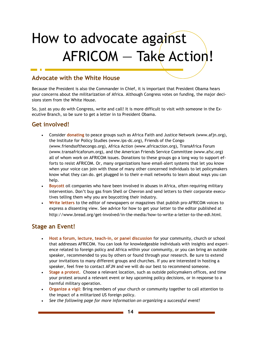# How to advocate against AFRICOM — Take Action!

### Advocate with the White House

Because the President is also the Commander in Chief, it is important that President Obama hears your concerns about the militarization of Africa. Although Congress votes on funding, the major decisions stem from the White House.

So, just as you do with Congress, write and call! It is more difficult to visit with someone in the Executive Branch, so be sure to get a letter in to President Obama.

### Get involved!

- Consider donating to peace groups such as Africa Faith and Justice Network (www.afjn.org), the Institute for Policy Studies (www.ips-dc.org), Friends of the Congo (www.friendsofthecongo.org), Africa Action (www.africaction.org), TransAfrica Forum (www.transafricaforum.org), and the American Friends Service Committee (www.afsc.org) all of whom work on AFRICOM issues. Donations to these groups go a long way to support efforts to resist AFRICOM. Or, many organizations have email-alert systems that let you know when your voice can join with those of many other concerned individuals to let policymakers know what they can do. get plugged in to their e-mail networks to learn about ways you can help.
- Boycott oil companies who have been involved in abuses in Africa, often requiring military intervention. Don't buy gas from Shell or Chevron and send letters to their corporate executives telling them why you are boycotting their industry.
- Write letters to the editor of newspapers or magazines that publish pro-AFRICOM voices to express a dissenting view. See advice for how to get your letter to the editor published at http://www.bread.org/get-involved/in-the-media/how-to-write-a-letter-to-the-edi.html.

### Stage an Event!

- Host a forum, lecture, teach-in, or panel discussion for your community, church or school that addresses AFRICOM. You can look for knowledgeable individuals with insights and experience related to foreign policy and Africa within your community, or you can bring an outside speaker, recommended to you by others or found through your research. Be sure to extend your invitations to many different groups and churches. If you are interested in hosting a speaker, feel free to contact AFJN and we will do our best to recommend someone.
- Stage a protest. Choose a relevant location, such as outside policymakers offices, and time your protest around a relevant event or key upcoming policy decisions, or in response to a harmful military operation.
- Organize a vigil: Bring members of your church or community together to call attention to the impact of a militarized US foreign policy.
- See the following page for more information on organizing a successful event!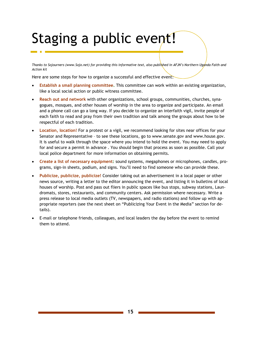# Staging a public event!

Thanks to Sojourners (www.Sojo.net) for providing this informative text, also published in AFJN's Northern Uganda Faith and Action kit

Here are some steps for how to organize a successful and effective event:

- Establish a small planning committee. This committee can work within an existing organization, like a local social action or public witness committee.
- Reach out and network with other organizations, school groups, communities, churches, synagogues, mosques, and other houses of worship in the area to organize and participate. An email and a phone call can go a long way. If you decide to organize an interfaith vigil, invite people of each faith to read and pray from their own tradition and talk among the groups about how to be respectful of each tradition.
- Location, location! For a protest or a vigil, we recommend looking for sites near offices for your Senator and Representative – to see these locations, go to www.senate.gov and www.house.gov. It is useful to walk through the space where you intend to hold the event. You may need to apply for and secure a permit in advance . You should begin that process as soon as possible. Call your local police department for more information on obtaining permits.
- Create a list of necessary equipment: sound systems, megaphones or microphones, candles, programs, sign-in sheets, podium, and signs. You'll need to find someone who can provide these.
- Publicize, publicize, publicize! Consider taking out an advertisement in a local paper or other news source, writing a letter to the editor announcing the event, and listing it in bulletins of local houses of worship. Post and pass out fliers in public spaces like bus stops, subway stations, Laundromats, stores, restaurants, and community centers. Ask permission where necessary. Write a press release to local media outlets (TV, newspapers, and radio stations) and follow up with appropriate reporters (see the next sheet on "Publicizing Your Event in the Media" section for details).
- E-mail or telephone friends, colleagues, and local leaders the day before the event to remind them to attend.